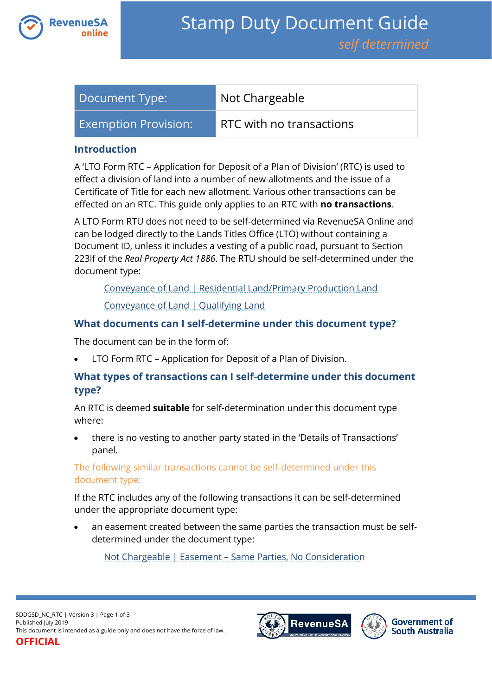

| Document Type:              | Not Chargeable           |
|-----------------------------|--------------------------|
| <b>Exemption Provision:</b> | RTC with no transactions |

### **Introduction**

A 'LTO Form RTC – Application for Deposit of a Plan of Division' (RTC) is used to effect a division of land into a number of new allotments and the issue of a Certificate of Title for each new allotment. Various other transactions can be effected on an RTC. This guide only applies to an RTC with **no transactions**.

A LTO Form RTU does not need to be self-determined via RevenueSA Online and can be lodged directly to the Lands Titles Office (LTO) without containing a Document ID, unless it includes a vesting of a public road, pursuant to Section 223lf of the *Real Property Act 1886*. The RTU should be self-determined under the document type:

[Conveyance of Land | Residential Land/Primary Production Land](https://www.revenuesa.sa.gov.au/stampduty/stamp-duty-document-guide/self-determined/conveyance-of-land/sddgsd_cl_rpp)

[Conveyance of Land | Qualifying Land](https://www.revenuesa.sa.gov.au/stampduty/stamp-duty-document-guide/self-determined/conveyance-of-land/sddgsd_cl_ql)

## **What documents can I self-determine under this document type?**

The document can be in the form of:

LTO Form RTC – Application for Deposit of a Plan of Division.

# **What types of transactions can I self-determine under this document type?**

An RTC is deemed **suitable** for self-determination under this document type where:

 there is no vesting to another party stated in the 'Details of Transactions' panel.

## The following similar transactions cannot be self-determined under this document type:

If the RTC includes any of the following transactions it can be self-determined under the appropriate document type:

 an easement created between the same parties the transaction must be selfdetermined under the document type:

Not Chargeable | Easement – [Same Parties, No Consideration](https://www.revenuesa.sa.gov.au/stampduty/stamp-duty-document-guide/self-determined/not-chargeable/sddgsd_nc_e)



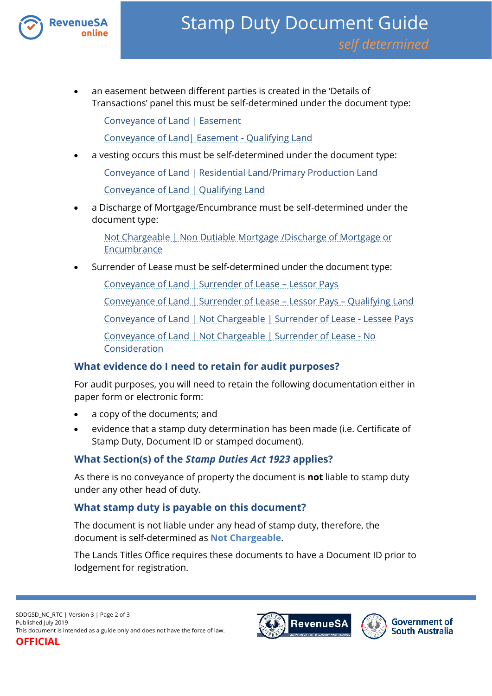

 an easement between different parties is created in the 'Details of Transactions' panel this must be self-determined under the document type:

[Conveyance of Land | Easement](https://www.revenuesa.sa.gov.au/stampduty/stamp-duty-document-guide/self-determined/conveyance-of-land/sddgsd_cl_e_rpp)

[Conveyance of Land| Easement -](https://www.revenuesa.sa.gov.au/stampduty/stamp-duty-document-guide/self-determined/conveyance-of-land/sddgsd_cl_e_ql) Qualifying Land

a vesting occurs this must be self-determined under the document type:

Conveyance of Land | Residential Land/Primary Production Land

[Conveyance of Land | Qualifying Land](https://www.revenuesa.sa.gov.au/stampduty/stamp-duty-document-guide/self-determined/conveyance-of-land/sddgsd_cl_ql)

 a Discharge of Mortgage/Encumbrance must be self-determined under the document type:

[Not Chargeable | Non Dutiable Mortgage /Discharge of Mortgage or](https://www.revenuesa.sa.gov.au/stampduty/stamp-duty-document-guide/self-determined/not-chargeable/sddgsd_nc_ndm_dme)  [Encumbrance](https://www.revenuesa.sa.gov.au/stampduty/stamp-duty-document-guide/self-determined/not-chargeable/sddgsd_nc_ndm_dme)

Surrender of Lease must be self-determined under the document type:

[Conveyance of Land | Surrender of Lease](https://www.revenuesa.sa.gov.au/stampduty/stamp-duty-document-guide/self-determined/conveyance-of-land/sddgsd_cl_sofl_rpp) – Lessor Pays

[Conveyance of Land | Surrender of Lease](https://www.revenuesa.sa.gov.au/stampduty/stamp-duty-document-guide/self-determined/conveyance-of-land/sddgsd_cl_sofl_ql) – Lessor Pays – Qualifying Land

[Conveyance of Land | Not Chargeable | Surrender of Lease -](https://www.revenuesa.sa.gov.au/stampduty/stamp-duty-document-guide/self-determined/conveyance-of-land-not-chargeable/sddgsd_cl_nc_sofl-lp) Lessee Pays

[Conveyance of Land | Not Chargeable | Surrender of Lease -](https://www.revenuesa.sa.gov.au/stampduty/stamp-duty-document-guide/self-determined/conveyance-of-land-not-chargeable/sddgsd_cl_nc_sofl-nocon) No [Consideration](https://www.revenuesa.sa.gov.au/stampduty/stamp-duty-document-guide/self-determined/conveyance-of-land-not-chargeable/sddgsd_cl_nc_sofl-nocon)

## **What evidence do I need to retain for audit purposes?**

For audit purposes, you will need to retain the following documentation either in paper form or electronic form:

- a copy of the documents; and
- evidence that a stamp duty determination has been made (i.e. Certificate of Stamp Duty, Document ID or stamped document).

# **What Section(s) of the** *Stamp Duties Act 1923* **applies?**

As there is no conveyance of property the document is **not** liable to stamp duty under any other head of duty.

## **What stamp duty is payable on this document?**

The document is not liable under any head of stamp duty, therefore, the document is self-determined as **Not Chargeable**.

The Lands Titles Office requires these documents to have a Document ID prior to lodgement for registration.